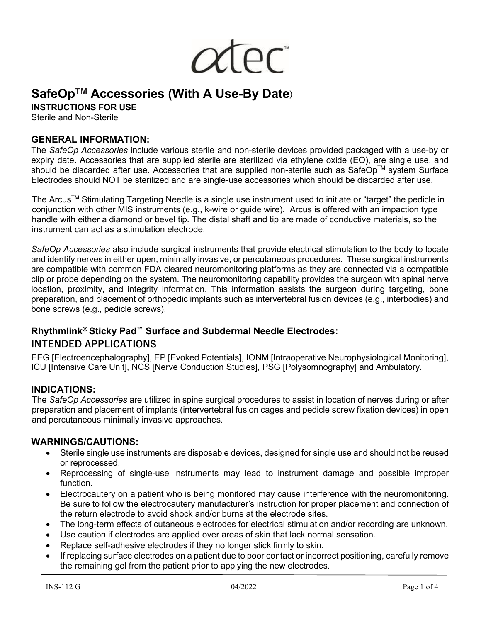

# **SafeOpTM Accessories (With A Use-By Date)**

**INSTRUCTIONS FOR USE**

Sterile and Non-Sterile

#### **GENERAL INFORMATION:**

The *SafeOp Accessories* include various sterile and non-sterile devices provided packaged with a use-by or expiry date. Accessories that are supplied sterile are sterilized via ethylene oxide (EO), are single use, and should be discarded after use. Accessories that are supplied non-sterile such as SafeOp™ system Surface Electrodes should NOT be sterilized and are single-use accessories which should be discarded after use.

The ArcusTM Stimulating Targeting Needle is a single use instrument used to initiate or "target" the pedicle in conjunction with other MIS instruments (e.g., k-wire or guide wire). Arcus is offered with an impaction type handle with either a diamond or bevel tip. The distal shaft and tip are made of conductive materials, so the instrument can act as a stimulation electrode.

*SafeOp Accessories* also include surgical instruments that provide electrical stimulation to the body to locate and identify nerves in either open, minimally invasive, or percutaneous procedures. These surgical instruments are compatible with common FDA cleared neuromonitoring platforms as they are connected via a compatible clip or probe depending on the system. The neuromonitoring capability provides the surgeon with spinal nerve location, proximity, and integrity information. This information assists the surgeon during targeting, bone preparation, and placement of orthopedic implants such as intervertebral fusion devices (e.g., interbodies) and bone screws (e.g., pedicle screws).

# **Rhythmlink® Sticky Pad™ Surface and Subdermal Needle Electrodes: INTENDED APPLICATIONS**

EEG [Electroencephalography], EP [Evoked Potentials], IONM [Intraoperative Neurophysiological Monitoring], ICU [Intensive Care Unit], NCS [Nerve Conduction Studies], PSG [Polysomnography] and Ambulatory.

#### **INDICATIONS:**

The *SafeOp Accessories* are utilized in spine surgical procedures to assist in location of nerves during or after preparation and placement of implants (intervertebral fusion cages and pedicle screw fixation devices) in open and percutaneous minimally invasive approaches.

#### **WARNINGS/CAUTIONS:**

- Sterile single use instruments are disposable devices, designed for single use and should not be reused or reprocessed.
- Reprocessing of single-use instruments may lead to instrument damage and possible improper function.
- Electrocautery on a patient who is being monitored may cause interference with the neuromonitoring. Be sure to follow the electrocautery manufacturer's instruction for proper placement and connection of the return electrode to avoid shock and/or burns at the electrode sites.
- The long-term effects of cutaneous electrodes for electrical stimulation and/or recording are unknown.
- Use caution if electrodes are applied over areas of skin that lack normal sensation.
- Replace self-adhesive electrodes if they no longer stick firmly to skin.
- If replacing surface electrodes on a patient due to poor contact or incorrect positioning, carefully remove the remaining gel from the patient prior to applying the new electrodes.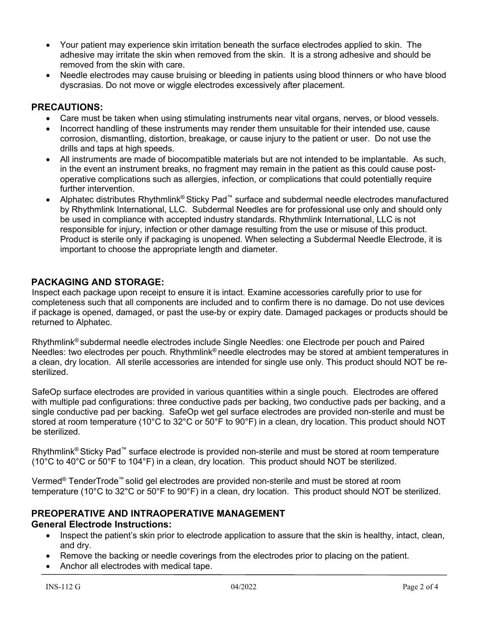- Your patient may experience skin irritation beneath the surface electrodes applied to skin. The adhesive may irritate the skin when removed from the skin. It is a strong adhesive and should be removed from the skin with care.
- Needle electrodes may cause bruising or bleeding in patients using blood thinners or who have blood dyscrasias. Do not move or wiggle electrodes excessively after placement.

## **PRECAUTIONS:**

- Care must be taken when using stimulating instruments near vital organs, nerves, or blood vessels.
- Incorrect handling of these instruments may render them unsuitable for their intended use, cause corrosion, dismantling, distortion, breakage, or cause injury to the patient or user. Do not use the drills and taps at high speeds.
- All instruments are made of biocompatible materials but are not intended to be implantable. As such, in the event an instrument breaks, no fragment may remain in the patient as this could cause postoperative complications such as allergies, infection, or complications that could potentially require further intervention.
- Alphatec distributes Rhythmlink® Sticky Pad™ surface and subdermal needle electrodes manufactured by Rhythmlink International, LLC. Subdermal Needles are for professional use only and should only be used in compliance with accepted industry standards. Rhythmlink International, LLC is not responsible for injury, infection or other damage resulting from the use or misuse of this product. Product is sterile only if packaging is unopened. When selecting a Subdermal Needle Electrode, it is important to choose the appropriate length and diameter.

## **PACKAGING AND STORAGE:**

Inspect each package upon receipt to ensure it is intact. Examine accessories carefully prior to use for completeness such that all components are included and to confirm there is no damage. Do not use devices if package is opened, damaged, or past the use-by or expiry date. Damaged packages or products should be returned to Alphatec.

Rhythmlink® subdermal needle electrodes include Single Needles: one Electrode per pouch and Paired Needles: two electrodes per pouch. Rhythmlink® needle electrodes may be stored at ambient temperatures in a clean, dry location. All sterile accessories are intended for single use only. This product should NOT be resterilized.

SafeOp surface electrodes are provided in various quantities within a single pouch. Electrodes are offered with multiple pad configurations: three conductive pads per backing, two conductive pads per backing, and a single conductive pad per backing. SafeOp wet gel surface electrodes are provided non-sterile and must be stored at room temperature (10°C to 32°C or 50°F to 90°F) in a clean, dry location. This product should NOT be sterilized.

Rhythmlink<sup>®</sup> Sticky Pad<sup>™</sup> surface electrode is provided non-sterile and must be stored at room temperature (10°C to 40°C or 50°F to 104°F) in a clean, dry location. This product should NOT be sterilized.

Vermed<sup>®</sup> TenderTrode<sup>™</sup> solid gel electrodes are provided non-sterile and must be stored at room temperature (10°C to 32°C or 50°F to 90°F) in a clean, dry location. This product should NOT be sterilized.

### **PREOPERATIVE AND INTRAOPERATIVE MANAGEMENT**

### **General Electrode Instructions:**

- Inspect the patient's skin prior to electrode application to assure that the skin is healthy, intact, clean, and dry.
- Remove the backing or needle coverings from the electrodes prior to placing on the patient.
- Anchor all electrodes with medical tape.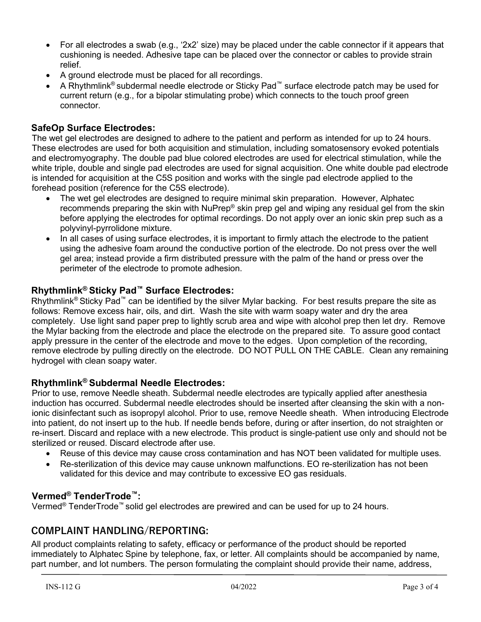- For all electrodes a swab (e.g., '2x2' size) may be placed under the cable connector if it appears that cushioning is needed. Adhesive tape can be placed over the connector or cables to provide strain relief.
- A ground electrode must be placed for all recordings.
- A Rhythmlink® subdermal needle electrode or Sticky Pad™ surface electrode patch may be used for current return (e.g., for a bipolar stimulating probe) which connects to the touch proof green connector.

# **SafeOp Surface Electrodes:**

The wet gel electrodes are designed to adhere to the patient and perform as intended for up to 24 hours. These electrodes are used for both acquisition and stimulation, including somatosensory evoked potentials and electromyography. The double pad blue colored electrodes are used for electrical stimulation, while the white triple, double and single pad electrodes are used for signal acquisition. One white double pad electrode is intended for acquisition at the C5S position and works with the single pad electrode applied to the forehead position (reference for the C5S electrode).

- The wet gel electrodes are designed to require minimal skin preparation. However, Alphatec recommends preparing the skin with NuPrep® skin prep gel and wiping any residual gel from the skin before applying the electrodes for optimal recordings. Do not apply over an ionic skin prep such as a polyvinyl-pyrrolidone mixture.
- In all cases of using surface electrodes, it is important to firmly attach the electrode to the patient using the adhesive foam around the conductive portion of the electrode. Do not press over the well gel area; instead provide a firm distributed pressure with the palm of the hand or press over the perimeter of the electrode to promote adhesion.

## **Rhythmlink® Sticky Pad™ Surface Electrodes:**

Rhythmlink® Sticky Pad™ can be identified by the silver Mylar backing. For best results prepare the site as follows: Remove excess hair, oils, and dirt. Wash the site with warm soapy water and dry the area completely. Use light sand paper prep to lightly scrub area and wipe with alcohol prep then let dry. Remove the Mylar backing from the electrode and place the electrode on the prepared site. To assure good contact apply pressure in the center of the electrode and move to the edges. Upon completion of the recording, remove electrode by pulling directly on the electrode. DO NOT PULL ON THE CABLE. Clean any remaining hydrogel with clean soapy water.

### **Rhythmlink® Subdermal Needle Electrodes:**

Prior to use, remove Needle sheath. Subdermal needle electrodes are typically applied after anesthesia induction has occurred. Subdermal needle electrodes should be inserted after cleansing the skin with a nonionic disinfectant such as isopropyl alcohol. Prior to use, remove Needle sheath. When introducing Electrode into patient, do not insert up to the hub. If needle bends before, during or after insertion, do not straighten or re-insert. Discard and replace with a new electrode. This product is single-patient use only and should not be sterilized or reused. Discard electrode after use.

- Reuse of this device may cause cross contamination and has NOT been validated for multiple uses.
- Re-sterilization of this device may cause unknown malfunctions. EO re-sterilization has not been validated for this device and may contribute to excessive EO gas residuals.

### **Vermed® TenderTrode™:**

Vermed<sup>®</sup> TenderTrode™ solid gel electrodes are prewired and can be used for up to 24 hours.

## **COMPLAINT HANDLING/REPORTING:**

All product complaints relating to safety, efficacy or performance of the product should be reported immediately to Alphatec Spine by telephone, fax, or letter. All complaints should be accompanied by name, part number, and lot numbers. The person formulating the complaint should provide their name, address,